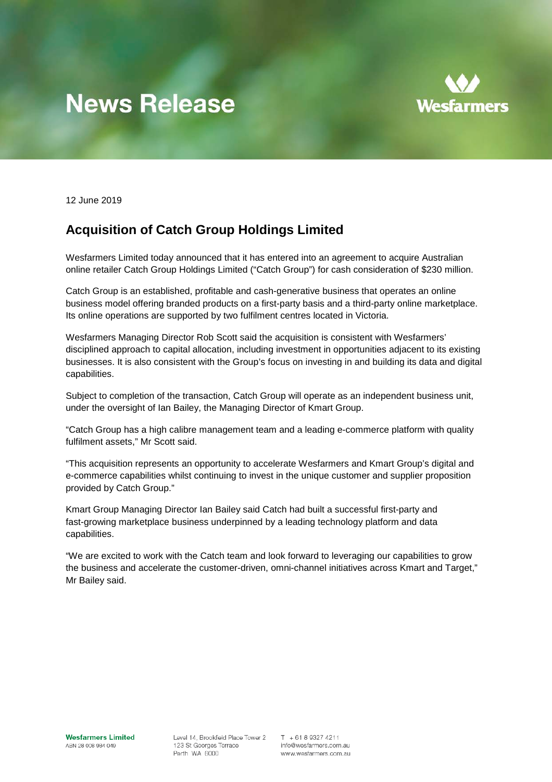## **News Release**



12 June 2019

## **Acquisition of Catch Group Holdings Limited**

Wesfarmers Limited today announced that it has entered into an agreement to acquire Australian online retailer Catch Group Holdings Limited ("Catch Group") for cash consideration of \$230 million.

Catch Group is an established, profitable and cash-generative business that operates an online business model offering branded products on a first-party basis and a third-party online marketplace. Its online operations are supported by two fulfilment centres located in Victoria.

Wesfarmers Managing Director Rob Scott said the acquisition is consistent with Wesfarmers' disciplined approach to capital allocation, including investment in opportunities adjacent to its existing businesses. It is also consistent with the Group's focus on investing in and building its data and digital capabilities.

Subject to completion of the transaction, Catch Group will operate as an independent business unit, under the oversight of Ian Bailey, the Managing Director of Kmart Group.

"Catch Group has a high calibre management team and a leading e-commerce platform with quality fulfilment assets," Mr Scott said.

"This acquisition represents an opportunity to accelerate Wesfarmers and Kmart Group's digital and e-commerce capabilities whilst continuing to invest in the unique customer and supplier proposition provided by Catch Group."

Kmart Group Managing Director Ian Bailey said Catch had built a successful first-party and fast-growing marketplace business underpinned by a leading technology platform and data capabilities.

"We are excited to work with the Catch team and look forward to leveraging our capabilities to grow the business and accelerate the customer-driven, omni-channel initiatives across Kmart and Target," Mr Bailey said.